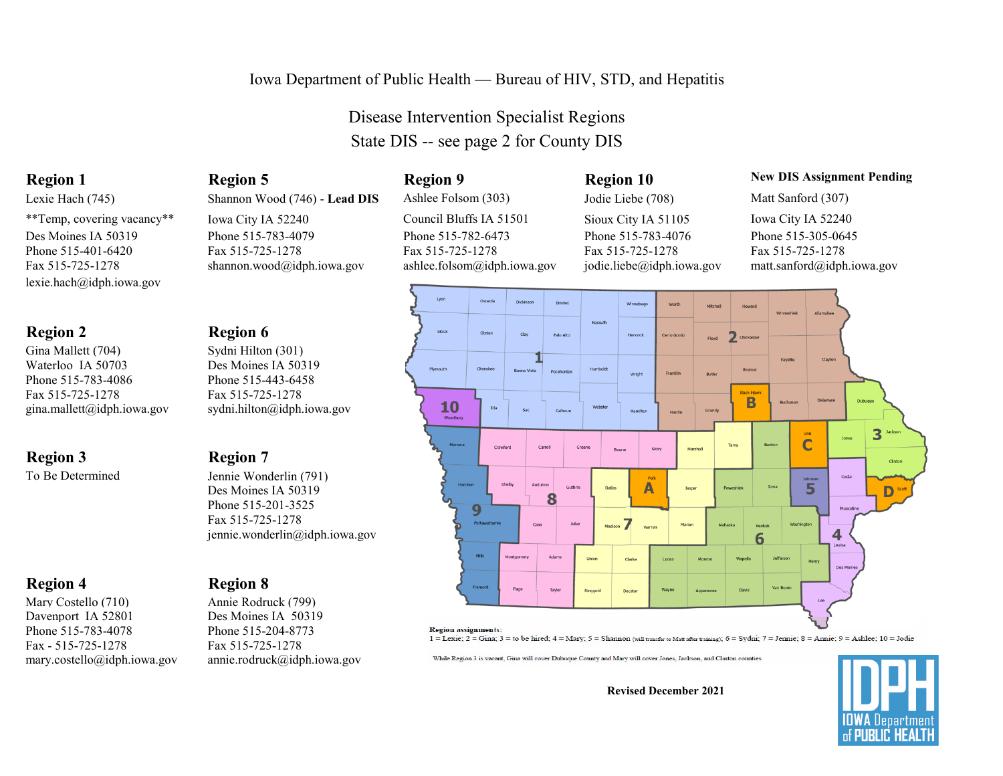### Iowa Department of Public Health — Bureau of HIV, STD, and Hepatitis

Disease Intervention Specialist Regions State DIS -- see page 2 for County DIS

### **Region 1 Region 5 Region 9 Region 10 New DIS Assignment Pending**



1 = Lexie; 2 = Gina; 3 = to be hired; 4 = Mary; 5 = Shannon (will transfer to Matt after training); 6 = Sydni; 7 = Jennie; 8 = Annie; 9 = Ashlee; 10 = Jodie

While Region 3 is vacant, Gina will cover Dubuque County and Mary will cover Jones, Jackson, and Clinton counties

**Revised December 2021**



Lexie Hach (745) Shannon Wood (746) - **Lead DIS** Ashlee Folsom (303) Jodie Liebe (708) Matt Sanford (307) \*\*Temp, covering vacancy\*\* Iowa City IA 52240 Council Bluffs IA 51501 Sioux City IA 51105 Iowa City IA 52240 Des Moines IA 50319 Phone 515-783-4079 Phone 515-782-6473 Phone 515-783-4076 Phone 515-305-0645<br>Phone 515-401-6420 Phone 515-725-1278 Fax 515-725-1278 Phone 515-725-1278 Phone 515-4020 Phone 515-401-6420 Fax 515-725-1278 Fax 515-725-1278 Fax 515-725-1278 Fax 515-725-1278 Fax 515-725-1278 [shannon.wood@idph.iowa.gov](mailto:shannon.wood@idph.iowa.gov) [ashlee.folsom@idph.iowa.gov](mailto:ashlee.folsom@idph.iowa.gov) [jodie.liebe@idph.iowa.gov](mailto:jodie.liebe@idph.iowa.gov) matt.sanford@idph.iowa.gov

[gina.mallett@idph.iowa.gov](mailto:gina.mallett@idph.iowa.gov) [sydni.hilton@idph.iowa.gov](mailto:sydni.hilton@idph.iowa.gov)

To Be Determined Jennie Wonderlin (791) Des Moines IA 50319 Phone 515-201-3525 Fax 515-725-1278 [jennie.wonderlin@idph.iowa.gov](mailto:jennie.wonderlin@idph.iowa.gov)

Mary Costello (710) Annie Rodruck (799) Davenport IA 52801 Des Moines IA 50319 Phone 515-783-4078 Phone 515-204-8773 Fax - 515-725-1278 Fax 515-725-1278

### **Region 4 Region 8**

mary.costello@idph.iowa.gov [annie.rodruck@idph.iowa.gov](mailto:annie.rodruck@idph.iowa.gov)

## **Region 2 Region 6**

Gina Mallett (704) Sydni Hilton (301) Waterloo IA 50703 Des Moines IA 50319 Phone 515-783-4086 Phone 515-443-6458 Fax 515-725-1278 Fax 515-725-1278

[lexie.hach@idph.iowa.gov](mailto:lexie.hach@idph.iowa.gov)

## **Region 3 Region 7**